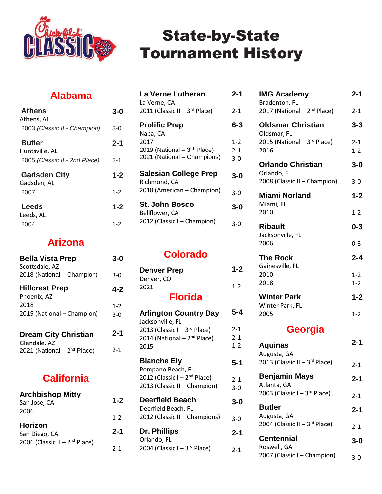

### **Alabama**

| <b>Athens</b><br>Athens, AL        | 3-0     |
|------------------------------------|---------|
| 2003 (Classic II - Champion)       | $3-0$   |
| <b>Butler</b><br>Huntsville, AL    | $2 - 1$ |
| 2005 (Classic II - 2nd Place)      | 2-1     |
|                                    |         |
| <b>Gadsden City</b><br>Gadsden, AL | $1 - 2$ |
| 2007                               | $1 - 2$ |
| <b>Leeds</b><br>Leeds, AL          | $1 - 2$ |

### **Arizona**

| <b>Bella Vista Prep</b><br>Scottsdale, AZ               | 3-0              |
|---------------------------------------------------------|------------------|
| 2018 (National – Champion)                              | 3-0              |
| <b>Hillcrest Prep</b><br>Phoenix, AZ                    | 4-2              |
| 2018<br>2019 (National - Champion)                      | $1 - 2$<br>$3-0$ |
| <b>Dream City Christian</b>                             | $2 - 1$          |
| Glendale, AZ<br>2021 (National - 2 <sup>nd</sup> Place) | 2-1              |

### **California**

| <b>Archbishop Mitty</b><br>San Jose, CA | $1 - 2$ |
|-----------------------------------------|---------|
| 2006                                    | $1 - 2$ |
| Horizon<br>San Diego, CA                | $2 - 1$ |
| 2006 (Classic II - $2^{nd}$ Place)      | $2 - 1$ |

| La Verne Lutheran<br>La Verne, CA                                   | 2-1                       |
|---------------------------------------------------------------------|---------------------------|
| 2011 (Classic II - $3^{rd}$ Place)                                  | $2 - 1$                   |
| <b>Prolific Prep</b><br>Napa, CA                                    | 6-3                       |
| 2017<br>2019 (National $-3rd$ Place)<br>2021 (National - Champions) | $1 - 2$<br>$2 - 1$<br>3-0 |
| <b>Salesian College Prep</b><br>Richmond, CA                        | 3-0                       |
| 2018 (American - Champion)                                          | 3-0                       |
| St. John Bosco<br>Bellflower, CA                                    | 3-0                       |
| 2012 (Classic I - Champion)                                         | 3-0                       |

### **Colorado**

| <b>Denver Prep</b> | $1 - 2$ |
|--------------------|---------|
| Denver, CO         |         |
| 2021               | $1 - 2$ |
| <b>Florida</b>     |         |

| <b>Arlington Country Day</b><br>Jacksonville, FL                             | 5-4                   |
|------------------------------------------------------------------------------|-----------------------|
| 2013 (Classic I - $3^{rd}$ Place)<br>2014 (National $-2^{nd}$ Place)<br>2015 | 2-1<br>2-1<br>$1 - 2$ |
| <b>Blanche Ely</b><br>Pompano Beach, FL                                      | 5-1                   |
| 2012 (Classic I - 2 <sup>nd</sup> Place)<br>2013 (Classic II - Champion)     | $2 - 1$<br>3-0        |
| <b>Deerfield Beach</b><br>Deerfield Beach, FL                                | 3-0                   |
| 2012 (Classic II - Champions)                                                | 3-0                   |
| Dr. Phillips<br>Orlando, FL                                                  | 2-1                   |
| 2004 (Classic I - $3^{rd}$ Place)                                            | $2 - 1$               |
|                                                                              |                       |

| <b>IMG Academy</b><br>Bradenton, FL                                    | $2 - 1$            |
|------------------------------------------------------------------------|--------------------|
| 2017 (National - 2 <sup>nd</sup> Place)                                | $2 - 1$            |
| <b>Oldsmar Christian</b><br>Oldsmar, FL<br>2015 (National - 3rd Place) | $3 - 3$<br>$2 - 1$ |
| 2016                                                                   | $1 - 2$            |
| <b>Orlando Christian</b><br>Orlando, FL                                | $3 - 0$            |
| 2008 (Classic II - Champion)                                           | $3 - 0$            |
| <b>Miami Norland</b><br>Miami, FL                                      | $1 - 2$            |
| 2010                                                                   | $1 - 2$            |
|                                                                        |                    |
| <b>Ribault</b><br>Jacksonville, FL                                     | $0 - 3$            |
| 2006                                                                   | $0 - 3$            |
| <b>The Rock</b><br>Gainesville, FL                                     | $2 - 4$            |
| 2010<br>2018                                                           | $1 - 2$<br>$1 - 2$ |
| <b>Winter Park</b>                                                     | $1 - 2$            |
| Winter Park, FL<br>2005                                                | $1 - 2$            |
| Georgia                                                                |                    |

| $2 - 1$ |
|---------|
| $2 - 1$ |
| $2 - 1$ |
| $2 - 1$ |
| $2 - 1$ |
| 3-0     |
| 3-0     |
|         |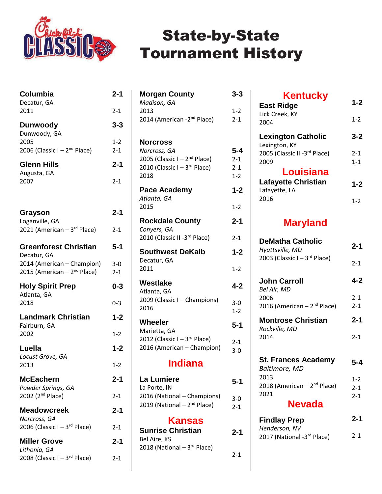

| 2011<br>$2 - 1$<br>$3 - 3$<br><b>Dunwoody</b><br>Dunwoody, GA<br>2005<br>$1 - 2$<br>2006 (Classic I - 2 <sup>nd</sup> Place)<br>$2 - 1$<br>$2 - 1$<br><b>Glenn Hills</b><br>Augusta, GA<br>2007<br>$2 - 1$<br>$2 - 1$<br>Grayson<br>Loganville, GA<br>2021 (American - 3rd Place)<br>$2 - 1$<br><b>Greenforest Christian</b><br>$5 - 1$<br>Decatur, GA<br>2014 (American - Champion)<br>$3 - 0$<br>2015 (American - 2 <sup>nd</sup> Place)<br>$2 - 1$<br><b>Holy Spirit Prep</b><br>0-3<br>Atlanta, GA<br>2018<br>$0 - 3$<br><b>Landmark Christian</b><br>$1 - 2$<br>Fairburn, GA<br>2002<br>$1 - 2$<br>Luella<br>$1 - 2$<br>Locust Grove, GA<br>2013<br>$1 - 2$<br><b>McEachern</b><br>$2 - 1$<br>Powder Springs, GA<br>2002 (2 <sup>nd</sup> Place)<br>$2 - 1$<br><b>Meadowcreek</b><br>$2 - 1$<br>Norcross, GA<br>2006 (Classic I - $3^{rd}$ Place)<br>2-1<br><b>Miller Grove</b><br>2-1<br>Lithonia, GA | Columbia<br>Decatur, GA           | $2 - 1$ |
|-------------------------------------------------------------------------------------------------------------------------------------------------------------------------------------------------------------------------------------------------------------------------------------------------------------------------------------------------------------------------------------------------------------------------------------------------------------------------------------------------------------------------------------------------------------------------------------------------------------------------------------------------------------------------------------------------------------------------------------------------------------------------------------------------------------------------------------------------------------------------------------------------------------|-----------------------------------|---------|
|                                                                                                                                                                                                                                                                                                                                                                                                                                                                                                                                                                                                                                                                                                                                                                                                                                                                                                             |                                   |         |
|                                                                                                                                                                                                                                                                                                                                                                                                                                                                                                                                                                                                                                                                                                                                                                                                                                                                                                             |                                   |         |
|                                                                                                                                                                                                                                                                                                                                                                                                                                                                                                                                                                                                                                                                                                                                                                                                                                                                                                             |                                   |         |
|                                                                                                                                                                                                                                                                                                                                                                                                                                                                                                                                                                                                                                                                                                                                                                                                                                                                                                             |                                   |         |
|                                                                                                                                                                                                                                                                                                                                                                                                                                                                                                                                                                                                                                                                                                                                                                                                                                                                                                             |                                   |         |
|                                                                                                                                                                                                                                                                                                                                                                                                                                                                                                                                                                                                                                                                                                                                                                                                                                                                                                             |                                   |         |
|                                                                                                                                                                                                                                                                                                                                                                                                                                                                                                                                                                                                                                                                                                                                                                                                                                                                                                             |                                   |         |
|                                                                                                                                                                                                                                                                                                                                                                                                                                                                                                                                                                                                                                                                                                                                                                                                                                                                                                             |                                   |         |
|                                                                                                                                                                                                                                                                                                                                                                                                                                                                                                                                                                                                                                                                                                                                                                                                                                                                                                             |                                   |         |
|                                                                                                                                                                                                                                                                                                                                                                                                                                                                                                                                                                                                                                                                                                                                                                                                                                                                                                             |                                   |         |
|                                                                                                                                                                                                                                                                                                                                                                                                                                                                                                                                                                                                                                                                                                                                                                                                                                                                                                             |                                   |         |
|                                                                                                                                                                                                                                                                                                                                                                                                                                                                                                                                                                                                                                                                                                                                                                                                                                                                                                             |                                   |         |
|                                                                                                                                                                                                                                                                                                                                                                                                                                                                                                                                                                                                                                                                                                                                                                                                                                                                                                             |                                   |         |
|                                                                                                                                                                                                                                                                                                                                                                                                                                                                                                                                                                                                                                                                                                                                                                                                                                                                                                             |                                   |         |
|                                                                                                                                                                                                                                                                                                                                                                                                                                                                                                                                                                                                                                                                                                                                                                                                                                                                                                             |                                   |         |
|                                                                                                                                                                                                                                                                                                                                                                                                                                                                                                                                                                                                                                                                                                                                                                                                                                                                                                             |                                   |         |
|                                                                                                                                                                                                                                                                                                                                                                                                                                                                                                                                                                                                                                                                                                                                                                                                                                                                                                             |                                   |         |
|                                                                                                                                                                                                                                                                                                                                                                                                                                                                                                                                                                                                                                                                                                                                                                                                                                                                                                             |                                   |         |
|                                                                                                                                                                                                                                                                                                                                                                                                                                                                                                                                                                                                                                                                                                                                                                                                                                                                                                             |                                   |         |
|                                                                                                                                                                                                                                                                                                                                                                                                                                                                                                                                                                                                                                                                                                                                                                                                                                                                                                             | 2008 (Classic $I - 3^{rd}$ Place) | $2 - 1$ |

| <b>Morgan County</b>                                                     | $3 - 3$            |
|--------------------------------------------------------------------------|--------------------|
| Madison, GA                                                              |                    |
| 2013                                                                     | $1 - 2$            |
| 2014 (American -2 <sup>nd</sup> Place)                                   | $2 - 1$            |
| <b>Norcross</b>                                                          |                    |
| Norcross, GA                                                             | 5-4                |
| 2005 (Classic I - 2 <sup>nd</sup> Place)<br>2010 (Classic I - 3rd Place) | $2 - 1$            |
| 2018                                                                     | $2 - 1$<br>$1 - 2$ |
|                                                                          | $1 - 2$            |
| Pace Academy<br>Atlanta, GA                                              |                    |
| 2015                                                                     | $1 - 2$            |
| <b>Rockdale County</b><br>Conyers, GA                                    | $2 - 1$            |
| 2010 (Classic II -3rd Place)                                             | $2 - 1$            |
| <b>Southwest DeKalb</b><br>Decatur, GA                                   | $1 - 2$            |
| 2011                                                                     | $1 - 2$            |
| Westlake                                                                 | $4 - 2$            |
| Atlanta, GA<br>2009 (Classic I - Champions)                              |                    |
| 2016                                                                     | $3 - 0$<br>$1 - 2$ |
| Wheeler                                                                  |                    |
| Marietta, GA                                                             | 5-1                |
| 2012 (Classic I - 3rd Place)                                             | $2 - 1$            |
| 2016 (American - Champion)                                               | 3-0                |
| <b>Indiana</b>                                                           |                    |
| <b>La Lumiere</b>                                                        | 5-1                |
| La Porte, IN                                                             |                    |
| 2016 (National - Champions)<br>2019 (National - 2 <sup>nd</sup> Place)   | $3-0$              |
|                                                                          | $2 - 1$            |
| Kansas                                                                   |                    |
| <b>Sunrise Christian</b><br>Bel Aire, KS                                 | $2 - 1$            |
|                                                                          |                    |

2018 (National – 3rd Place)

2-1

| <b>Kentucky</b><br><b>East Ridge</b>        | $1 - 2$ |
|---------------------------------------------|---------|
| Lick Creek, KY<br>2004                      | $1 - 2$ |
| <b>Lexington Catholic</b><br>Lexington, KY  | $3 - 2$ |
| 2005 (Classic II -3rd Place)                | $2 - 1$ |
| 2009<br>Louisiana                           | $1 - 1$ |
| <b>Lafayette Christian</b><br>Lafayette, LA | $1 - 2$ |
| 2016                                        | 1-2     |

### **Maryland**

| <b>DeMatha Catholic</b><br>Hyattsville, MD | 2-1     |
|--------------------------------------------|---------|
| 2003 (Classic I - 3rd Place)               | $2 - 1$ |
| John Carroll<br>Bel Air, MD                | 4-2     |
| 2006                                       | $2 - 1$ |
| 2016 (American – $2^{nd}$ Place)           | $2 - 1$ |
| <b>Montrose Christian</b><br>Rockville, MD | $2 - 1$ |
| 2014                                       | $2 - 1$ |
| <b>St. Frances Academy</b>                 | 5-4     |
| <b>Baltimore, MD</b>                       |         |
| 2013                                       | $1 - 2$ |
| 2018 (American - 2 <sup>nd</sup> Place)    | $2 - 1$ |
| 2021                                       | $2 - 1$ |
| Nevada                                     |         |
| <b>Findlay Prep</b><br>Henderson, NV       | 2-1     |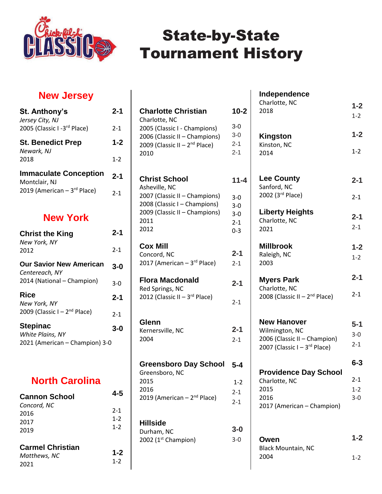

### **New Jersey**

| <b>St. Anthony's</b><br>Jersey City, NJ       | $2 - 1$ |
|-----------------------------------------------|---------|
| 2005 (Classic I-3rd Place)                    | $2 - 1$ |
| <b>St. Benedict Prep</b><br>Newark, NJ        | $1 - 2$ |
| 2018                                          | $1 - 2$ |
| <b>Immaculate Conception</b><br>Montclair, NJ | $2 - 1$ |
| 2019 (American $-3$ <sup>rd</sup> Place)      | $2 - 1$ |

#### **New York**

| <b>Christ the King</b><br>New York, NY           | 2-1     |
|--------------------------------------------------|---------|
| 2012                                             | $2 - 1$ |
| <b>Our Savior New American</b><br>Centereach, NY | 3-0     |
| 2014 (National – Champion)                       | 3-0     |
| Rice<br>New York, NY                             | $2 - 1$ |
| 2009 (Classic I - $2^{nd}$ Place)                | $2 - 1$ |
| <b>Stepinac</b><br>White Plains, NY              | 3-0     |
| 2021 (American - Champion) 3-0                   |         |

#### **North Carolina**

| <b>Cannon School</b>                            | 4-5                           |
|-------------------------------------------------|-------------------------------|
| Concord, NC<br>2016<br>2017<br>2019             | $2 - 1$<br>$1 - 2$<br>$1 - 2$ |
| <b>Carmel Christian</b><br>Matthews, NC<br>2021 | $1 - 2$<br>$1 - 2$            |

| <b>Charlotte Christian</b><br>Charlotte, NC<br>2005 (Classic I - Champions)<br>2006 (Classic II - Champions)<br>2009 (Classic II - $2nd$ Place)<br>2010 | $10 - 2$<br>3-0<br>3-0<br>$2 - 1$<br>$2 - 1$       |
|---------------------------------------------------------------------------------------------------------------------------------------------------------|----------------------------------------------------|
| <b>Christ School</b><br>Asheville, NC<br>2007 (Classic II - Champions)<br>2008 (Classic I - Champions)<br>2009 (Classic II - Champions)<br>2011<br>2012 | $11 - 4$<br>$3-0$<br>$3 - 0$<br>$3 - 0$<br>$2 - 1$ |
| <b>Cox Mill</b><br>Concord, NC<br>2017 (American – $3rd$ Place)                                                                                         | $0 - 3$<br>$2 - 1$<br>$2 - 1$                      |
| <b>Flora Macdonald</b><br>Red Springs, NC<br>2012 (Classic II - $3^{rd}$ Place)                                                                         | $2 - 1$<br>$2 - 1$                                 |
| Glenn<br>Kernersville, NC<br>2004                                                                                                                       | $2 - 1$<br>$2 - 1$                                 |
| <b>Greensboro Day School</b><br>Greensboro, NC<br>2015<br>2016<br>2019 (American - 2 <sup>nd</sup> Place)                                               | $5 - 4$<br>$1 - 2$<br>$2 - 1$<br>$2 - 1$           |
| <b>Hillside</b><br>Durham, NC<br>2002 ( $1st$ Champion)                                                                                                 | $3-0$<br>$3 - 0$                                   |

| Independence                       |                    |
|------------------------------------|--------------------|
| Charlotte, NC                      | $1 - 2$            |
| 2018                               | $1 - 2$            |
| Kingston                           | $1 - 2$            |
| Kinston, NC                        | $1 - 2$            |
| 2014                               |                    |
| <b>Lee County</b>                  | $2 - 1$            |
| Sanford, NC                        |                    |
| 2002 (3rd Place)                   | 2-1                |
| <b>Liberty Heights</b>             | $2 - 1$            |
| Charlotte, NC                      | $2 - 1$            |
| 2021                               |                    |
| <b>Millbrook</b>                   | $1 - 2$            |
| Raleigh, NC                        | $1 - 2$            |
| 2003                               |                    |
| <b>Myers Park</b>                  | $2 - 1$            |
| Charlotte, NC                      | 2-1                |
| 2008 (Classic II – $2^{nd}$ Place) |                    |
| <b>New Hanover</b>                 |                    |
| Wilmington, NC                     | $5 - 1$            |
| 2006 (Classic II - Champion)       | $3 - 0$            |
| 2007 (Classic I - $3^{rd}$ Place)  | $2 - 1$            |
|                                    | $6 - 3$            |
| <b>Providence Day School</b>       |                    |
| Charlotte, NC<br>2015              | $2 - 1$            |
| 2016                               | $1 - 2$<br>$3 - 0$ |
| 2017 (American - Champion)         |                    |
|                                    |                    |
|                                    | 1-2                |
| Owen<br><b>Black Mountain, NC</b>  |                    |
|                                    |                    |

1-2

2004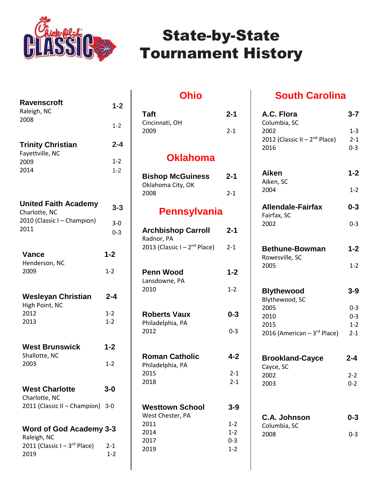

| <b>Ravenscroft</b><br>Raleigh, NC<br>2008         | $1 - 2$            |
|---------------------------------------------------|--------------------|
|                                                   | $1 - 2$            |
| <b>Trinity Christian</b><br>Fayettville, NC       | $2 - 4$            |
| 2009<br>2014                                      | $1 - 2$<br>$1 - 2$ |
| <b>United Faith Academy</b><br>Charlotte, NC      | $3 - 3$            |
| 2010 (Classic I - Champion)<br>2011               | $3-0$<br>$0 - 3$   |
| <b>Vance</b>                                      | $1 - 2$            |
| Henderson, NC<br>2009                             | $1 - 2$            |
| <b>Wesleyan Christian</b><br>High Point, NC       | $2 - 4$            |
| 2012                                              | $1 - 2$<br>$1 - 2$ |
| 2013                                              |                    |
| <b>West Brunswick</b><br>Shallotte, NC            | $1 - 2$            |
| 2003                                              | $1 - 2$            |
| <b>West Charlotte</b>                             | $3 - 0$            |
| Charlotte, NC<br>2011 (Classic II - Champion) 3-0 |                    |
| Word of God Academy 3-3                           |                    |
| Raleigh, NC<br>2011 (Classic $I - 3^{rd}$ Place)  | $2 - 1$            |

2019 1-2

#### **Ohio**

| Taft<br>Cincinnati, OH                       | 2-1                |
|----------------------------------------------|--------------------|
| 2009                                         | 2-1                |
| <b>Oklahoma</b>                              |                    |
| <b>Bishop McGuiness</b><br>Oklahoma City, OK | 2-1                |
| 2008                                         | $2 - 1$            |
| Pennsylvania                                 |                    |
| <b>Archbishop Carroll</b><br>Radnor, PA      | 2-1                |
| 2013 (Classic I - 2 <sup>nd</sup> Place)     | $2 - 1$            |
| <b>Penn Wood</b>                             | $1 - 2$            |
| Lansdowne, PA<br>2010                        | $1 - 2$            |
|                                              |                    |
| <b>Roberts Vaux</b><br>Philadelphia, PA      | $0 - 3$            |
| 2012                                         | 0-3                |
|                                              |                    |
| <b>Roman Catholic</b><br>Philadelphia, PA    | 4-2                |
| 2015<br>2018                                 | $2 - 1$<br>$2 - 1$ |
|                                              |                    |
| <b>Westtown School</b><br>West Chester, PA   | $3 - 9$            |
| 2011                                         | 1-2                |
| 2014                                         | $1 - 2$            |
| 2017<br>2019                                 | $0 - 3$<br>$1 - 2$ |
|                                              |                    |

### **South Carolina**

| A.C. Flora<br>Columbia, SC              | $3 - 7$            |
|-----------------------------------------|--------------------|
| 2002                                    | $1 - 3$            |
| 2012 (Classic II – $2nd$ Place)         | $2 - 1$            |
| 2016                                    | $0 - 3$            |
| Aiken<br>Aiken, SC                      | $1 - 2$            |
| 2004                                    | $1 - 2$            |
| <b>Allendale-Fairfax</b><br>Fairfax, SC | $0 - 3$            |
| 2002                                    | $0 - 3$            |
| <b>Bethune-Bowman</b><br>Rowesville, SC | $1 - 2$            |
| 2005                                    | $1 - 2$            |
| <b>Blythewood</b>                       | $3 - 9$            |
| Blythewood, SC                          |                    |
| 2005<br>2010                            | $0 - 3$<br>$0 - 3$ |
| 2015                                    | $1 - 2$            |
| 2016 (American - 3rd Place)             | $2 - 1$            |
| <b>Brookland-Cayce</b><br>Cayce, SC     | $2 - 4$            |
| 2002                                    | 2-2                |
| 2003                                    | $0 - 2$            |
|                                         |                    |
|                                         |                    |
| C.A. Johnson<br>Columbia, SC            | 0-3                |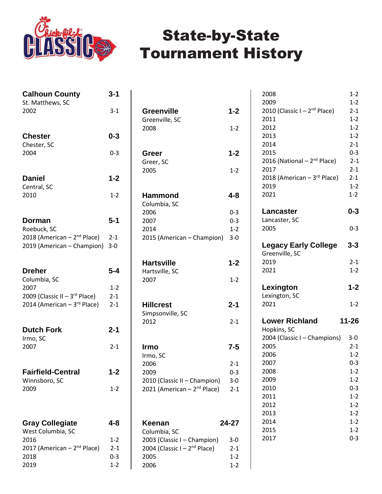

| <b>Calhoun County</b>                                  | 3-1                |
|--------------------------------------------------------|--------------------|
| St. Matthews, SC<br>2002                               | $3-1$              |
| <b>Chester</b>                                         | $0 - 3$            |
| Chester, SC<br>2004                                    | $0 - 3$            |
| <b>Daniel</b>                                          | $1 - 2$            |
| Central, SC<br>2010                                    | $1 - 2$            |
| Dorman                                                 | $5 - 1$            |
| Roebuck, SC<br>2018 (American - 2 <sup>nd</sup> Place) | $2 - 1$            |
| 2019 (American - Champion)                             | $3-0$              |
| <b>Dreher</b><br>Columbia, SC                          | $5 - 4$            |
| 2007                                                   | $1 - 2$            |
| 2009 (Classic II - 3rd Place)                          | $2 - 1$            |
| 2014 (American - 3rd Place)                            | $2 - 1$            |
| <b>Dutch Fork</b><br>Irmo, SC                          | $2 - 1$            |
| 2007                                                   | $2 - 1$            |
| <b>Fairfield-Central</b>                               | 1-2                |
| Winnsboro, SC<br>2009                                  | $1 - 2$            |
| <b>Gray Collegiate</b>                                 | 4-8                |
| West Columbia, SC                                      |                    |
| 2016                                                   | $1 - 2$            |
| 2017 (American - 2 <sup>nd</sup> Place)<br>2018        | $2 - 1$<br>$0 - 3$ |
| 2019                                                   | $1 - 2$            |

| <b>Greenville</b>                       | $1 - 2$            |
|-----------------------------------------|--------------------|
| Greenville, SC                          |                    |
| 2008                                    | $1 - 2$            |
|                                         |                    |
| Greer                                   | $1 - 2$            |
| Greer, SC                               |                    |
| 2005                                    | $1 - 2$            |
|                                         |                    |
| <b>Hammond</b>                          | 4-8                |
| Columbia, SC<br>2006                    | $0 - 3$            |
| 2007                                    | $0 - 3$            |
| 2014                                    | $1 - 2$            |
| 2015 (American - Champion)              | $3 - 0$            |
|                                         |                    |
| <b>Hartsville</b>                       | $1 - 2$            |
| Hartsville, SC                          |                    |
| 2007                                    | $1 - 2$            |
|                                         |                    |
| <b>Hillcrest</b>                        | $2 - 1$            |
| Simpsonville, SC                        |                    |
| 2012                                    | $2 - 1$            |
|                                         |                    |
| Irmo                                    | $7 - 5$            |
| Irmo, SC                                |                    |
| 2006                                    | $2 - 1$            |
| 2009<br>2010 (Classic II – Champion)    | $0 - 3$<br>3-0     |
| 2021 (American - 2 <sup>nd</sup> Place) | $2 - 1$            |
|                                         |                    |
|                                         |                    |
| Keenan                                  | 24-27              |
| Columbia, SC                            |                    |
| 2003 (Classic I - Champion)             | $3-0$              |
| 2004 (Classic I - $2nd$ Place)          | $2 - 1$            |
| 2005<br>2006                            | $1 - 2$<br>$1 - 2$ |
|                                         |                    |

| 2008                                    | $1 - 2$            |
|-----------------------------------------|--------------------|
| 2009<br>2010 (Classic I - $2nd$ Place)  | $1 - 2$<br>$2 - 1$ |
| 2011                                    | $1 - 2$            |
| 2012                                    | $1 - 2$            |
| 2013                                    | $1 - 2$            |
| 2014                                    | $2 - 1$            |
| 2015                                    | $0 - 3$            |
| 2016 (National - 2 <sup>nd</sup> Place) | $2 - 1$            |
| 2017                                    | $2 - 1$            |
| 2018 (American - 3rd Place)             | $2 - 1$            |
| 2019                                    | $1 - 2$<br>$1 - 2$ |
| 2021                                    |                    |
| Lancaster                               | $0 - 3$            |
| Lancaster, SC                           |                    |
| 2005                                    | $0 - 3$            |
| <b>Legacy Early College</b>             | $3 - 3$            |
| Greenville, SC<br>2019                  | $2 - 1$            |
| 2021                                    | $1 - 2$            |
|                                         |                    |
| Lexington                               | $1 - 2$            |
| Lexington, SC                           |                    |
| 2021                                    | $1 - 2$            |
| <b>Lower Richland</b>                   | 11-26              |
| Hopkins, SC                             |                    |
| 2004 (Classic I - Champions)<br>2005    | $3-0$<br>$2 - 1$   |
| 2006                                    | $1 - 2$            |
| 2007                                    | $0 - 3$            |
| 2008                                    | $1 - 2$            |
| 2009                                    | 1-2                |
| 2010                                    | $0 - 3$            |
| 2011                                    | $1 - 2$            |
| 2012                                    | $1 - 2$            |
| 2013                                    | $1 - 2$            |
| 2014                                    | $1 - 2$            |
| 2015                                    | $1-2$              |
|                                         |                    |
| 2017                                    | $0 - 3$            |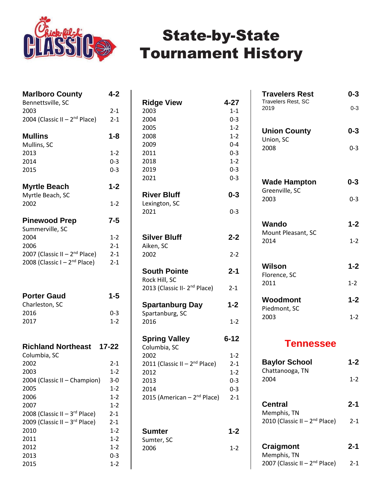

| <b>Marlboro County</b>                    | 4-2                |
|-------------------------------------------|--------------------|
| Bennettsville, SC                         |                    |
| 2003                                      | $2 - 1$            |
| 2004 (Classic II - 2 <sup>nd</sup> Place) | $2 - 1$            |
| <b>Mullins</b>                            | 1-8                |
| Mullins, SC                               |                    |
| 2013                                      | $1 - 2$            |
| 2014<br>2015                              | $0 - 3$            |
|                                           | $0 - 3$            |
| <b>Myrtle Beach</b>                       | $1 - 2$            |
| Myrtle Beach, SC                          |                    |
| 2002                                      | 1-2                |
| <b>Pinewood Prep</b>                      | $7 - 5$            |
| Summerville, SC                           |                    |
| 2004                                      | $1 - 2$            |
| 2006                                      | $2 - 1$            |
| 2007 (Classic II - $2nd$ Place)           | $2 - 1$            |
| 2008 (Classic I - $2nd$ Place)            | $2 - 1$            |
| <b>Porter Gaud</b>                        | 1-5                |
| Charleston, SC                            |                    |
| 2016                                      | $0 - 3$            |
| 2017                                      | $1 - 2$            |
| <b>Richland Northeast</b>                 | $17 - 22$          |
| Columbia, SC                              |                    |
| 2002                                      | $2-1$              |
| 2003                                      | $1 - 2$            |
| 2004 (Classic II - Champion)<br>2005      | $3 - 0$<br>$1 - 2$ |
| 2006                                      | $1 - 2$            |
| 2007                                      | $1 - 2$            |
| 2008 (Classic II - $3rd$ Place)           | $2 - 1$            |
| 2009 (Classic II - 3rd Place)             | $2 - 1$            |
| 2010                                      | $1 - 2$            |
| 2011                                      | $1 - 2$            |
| 2012                                      | $1 - 2$            |
| 2013                                      | $0 - 3$            |
| 2015                                      | $1 - 2$            |

| <b>Ridge View</b><br>2003<br>2004<br>2005<br>2008<br>2009<br>2011<br>2018<br>2019<br>2021 | 4-27<br>$1 - 1$<br>$0 - 3$<br>$1 - 2$<br>$1 - 2$<br>$0 - 4$<br>$0 - 3$<br>$1 - 2$<br>$0 - 3$<br>$0 - 3$ |
|-------------------------------------------------------------------------------------------|---------------------------------------------------------------------------------------------------------|
| <b>River Bluff</b><br>Lexington, SC                                                       | $0 - 3$                                                                                                 |
| 2021                                                                                      | 0-3                                                                                                     |
| <b>Silver Bluff</b><br>Aiken, SC                                                          | $2 - 2$                                                                                                 |
| 2002                                                                                      | $2 - 2$                                                                                                 |
| <b>South Pointe</b><br>Rock Hill, SC                                                      | $2 - 1$                                                                                                 |
| 2013 (Classic II- 2 <sup>nd</sup> Place)                                                  | $2 - 1$                                                                                                 |
| <b>Spartanburg Day</b><br>Spartanburg, SC                                                 | $1 - 2$                                                                                                 |
| 2016                                                                                      | $1 - 2$                                                                                                 |
| <b>Spring Valley</b><br>Columbia, SC                                                      | $6 - 12$                                                                                                |
| 2002                                                                                      | $1 - 2$                                                                                                 |
| 2011 (Classic II - 2 <sup>nd</sup> Place)                                                 | $2 - 1$                                                                                                 |
| 2012<br>2013                                                                              | $1 - 2$<br>$0 - 3$                                                                                      |
| 2014                                                                                      | $0 - 3$                                                                                                 |
| 2015 (American - 2 <sup>nd</sup> Place)                                                   | $2 - 1$                                                                                                 |
| <b>Sumter</b>                                                                             | 1-2                                                                                                     |
| Sumter, SC<br>2006                                                                        | $1 - 2$                                                                                                 |

| <b>Travelers Rest</b><br><b>Travelers Rest, SC</b><br>2019 | 0-3<br>$0 - 3$ |
|------------------------------------------------------------|----------------|
|                                                            |                |
| <b>Union County</b><br>Union, SC                           | $0 - 3$        |
| 2008                                                       | $0 - 3$        |
|                                                            |                |
| <b>Wade Hampton</b><br>Greenville, SC                      | 0-3            |
| 2003                                                       | $0 - 3$        |
| Wando<br>Mount Pleasant, SC                                | $1 - 2$        |
| 2014                                                       | $1 - 2$        |
| Wilson                                                     | $1 - 2$        |
| Florence, SC<br>2011                                       | $1 - 2$        |
| Woodmont<br>Piedmont, SC                                   | $1 - 2$        |
| 2003                                                       | $1 - 2$        |
|                                                            |                |

#### **Tennessee**

| <b>Baylor School</b><br>Chattanooga, TN   | 1-2     |
|-------------------------------------------|---------|
| 2004                                      | $1 - 2$ |
| Central<br>Memphis, TN                    | $2 - 1$ |
| 2010 (Classic II - 2 <sup>nd</sup> Place) | $2 - 1$ |
| Craigmont<br>Memphis, TN                  | 2-1     |
| 2007 (Classic II - 2 <sup>nd</sup> Place) | 2-1     |